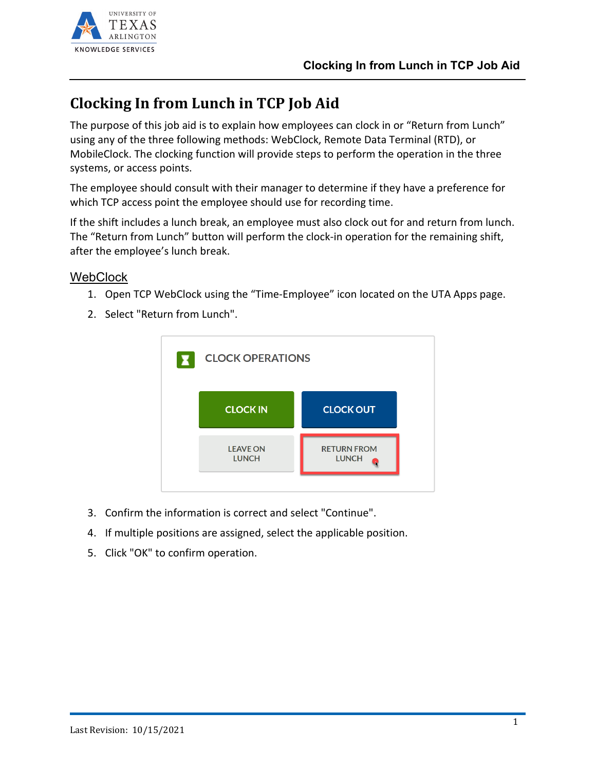

# **Clocking In from Lunch in TCP Job Aid**

The purpose of this job aid is to explain how employees can clock in or "Return from Lunch" using any of the three following methods: WebClock, Remote Data Terminal (RTD), or MobileClock. The clocking function will provide steps to perform the operation in the three systems, or access points.

The employee should consult with their manager to determine if they have a preference for which TCP access point the employee should use for recording time.

If the shift includes a lunch break, an employee must also clock out for and return from lunch. The "Return from Lunch" button will perform the clock-in operation for the remaining shift, after the employee's lunch break.

#### WebClock

- 1. Open TCP WebClock using the "Time-Employee" icon located on the UTA Apps page.
- 2. Select "Return from Lunch". **CLOCK OPERATIONS**



- 3. Confirm the information is correct and select "Continue".
- 4. If multiple positions are assigned, select the applicable position.
- 5. Click "OK" to confirm operation.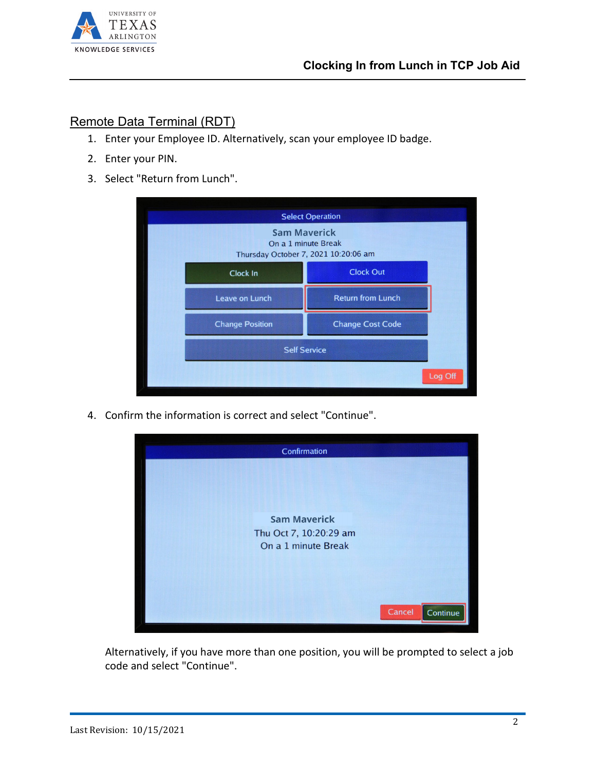

#### Remote Data Terminal (RDT)

- 1. Enter your Employee ID. Alternatively, scan your employee ID badge.
- 2. Enter your PIN.
- 3. Select "Return from Lunch".

|                                                                                    | <b>Select Operation</b>  |  |  |
|------------------------------------------------------------------------------------|--------------------------|--|--|
| <b>Sam Maverick</b><br>On a 1 minute Break<br>Thursday October 7, 2021 10:20:06 am |                          |  |  |
| <b>Clock In</b>                                                                    | <b>Clock Out</b>         |  |  |
| <b>Leave on Lunch</b>                                                              | <b>Return from Lunch</b> |  |  |
| <b>Change Position</b>                                                             | <b>Change Cost Code</b>  |  |  |
| <b>Self Service</b>                                                                |                          |  |  |
|                                                                                    | Log Off                  |  |  |

4. Confirm the information is correct and select "Continue".



Alternatively, if you have more than one position, you will be prompted to select a job code and select "Continue".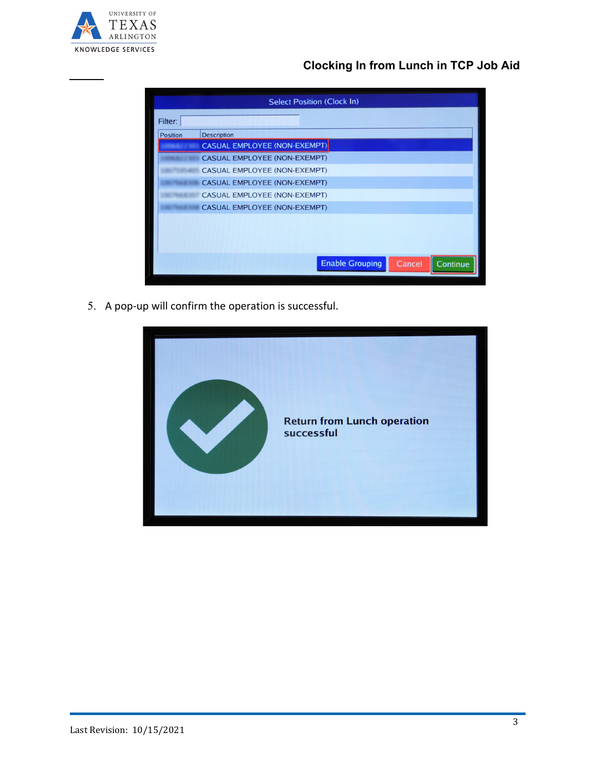

## **Clocking In from Lunch in TCP Job Aid**

|                 | <b>Select Position (Clock In)</b>            |
|-----------------|----------------------------------------------|
| Filter:         |                                              |
| <b>Position</b> | <b>Description</b>                           |
|                 | <b>CASUAL EMPLOYEE (NON-EXEMPT)</b>          |
|                 | <b>CASUAL EMPLOYEE (NON-EXEMPT)</b>          |
|                 | <b>CASUAL EMPLOYEE (NON-EXEMPT)</b>          |
|                 | <b>CASUAL EMPLOYEE (NON-EXEMPT)</b>          |
|                 | <b>CASUAL EMPLOYEE (NON-EXEMPT)</b>          |
|                 | <b>CASUAL EMPLOYEE (NON-EXEMPT)</b>          |
|                 |                                              |
|                 |                                              |
|                 |                                              |
|                 | <b>Enable Grouping</b><br>Cancel<br>Continue |

5. A pop-up will confirm the operation is successful.